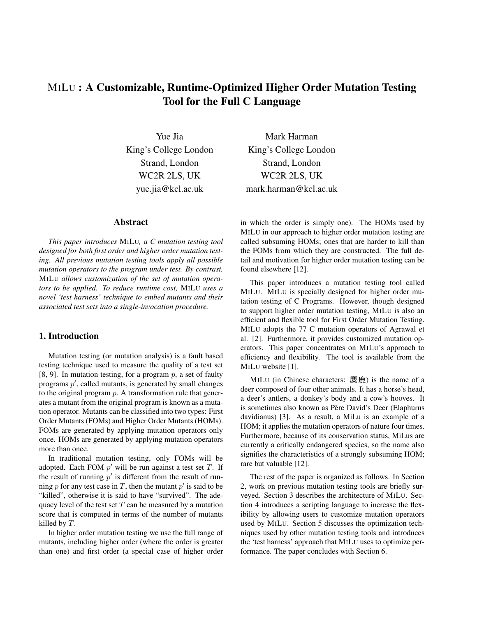# MILU : A Customizable, Runtime-Optimized Higher Order Mutation Testing Tool for the Full C Language

Yue Jia King's College London Strand, London WC2R 2LS, UK yue.jia@kcl.ac.uk

# Abstract

*This paper introduces* MILU*, a C mutation testing tool designed for both first order and higher order mutation testing. All previous mutation testing tools apply all possible mutation operators to the program under test. By contrast,* MILU *allows customization of the set of mutation operators to be applied. To reduce runtime cost,* MILU *uses a novel 'test harness' technique to embed mutants and their associated test sets into a single-invocation procedure.*

# 1. Introduction

Mutation testing (or mutation analysis) is a fault based testing technique used to measure the quality of a test set [8, 9]. In mutation testing, for a program  $p$ , a set of faulty programs  $p'$ , called mutants, is generated by small changes to the original program  $p$ . A transformation rule that generates a mutant from the original program is known as a mutation operator. Mutants can be classified into two types: First Order Mutants (FOMs) and Higher Order Mutants (HOMs). FOMs are generated by applying mutation operators only once. HOMs are generated by applying mutation operators more than once.

In traditional mutation testing, only FOMs will be adopted. Each FOM  $p'$  will be run against a test set T. If the result of running  $p'$  is different from the result of running  $p$  for any test case in  $T$ , then the mutant  $p'$  is said to be "killed", otherwise it is said to have "survived". The adequacy level of the test set  $T$  can be measured by a mutation score that is computed in terms of the number of mutants killed by T.

In higher order mutation testing we use the full range of mutants, including higher order (where the order is greater than one) and first order (a special case of higher order

Mark Harman King's College London Strand, London WC2R 2LS, UK mark.harman@kcl.ac.uk

in which the order is simply one). The HOMs used by MILU in our approach to higher order mutation testing are called subsuming HOMs; ones that are harder to kill than the FOMs from which they are constructed. The full detail and motivation for higher order mutation testing can be found elsewhere [12].

This paper introduces a mutation testing tool called MILU. MILU is specially designed for higher order mutation testing of C Programs. However, though designed to support higher order mutation testing, MILU is also an efficient and flexible tool for First Order Mutation Testing. MILU adopts the 77 C mutation operators of Agrawal et al. [2]. Furthermore, it provides customized mutation operators. This paper concentrates on MILU's approach to efficiency and flexibility. The tool is available from the MILU website [1].

MILU (in Chinese characters: 麋鹿) is the name of a deer composed of four other animals. It has a horse's head, a deer's antlers, a donkey's body and a cow's hooves. It is sometimes also known as Père David's Deer (Elaphurus davidianus) [3]. As a result, a MiLu is an example of a HOM; it applies the mutation operators of nature four times. Furthermore, because of its conservation status, MiLus are currently a critically endangered species, so the name also signifies the characteristics of a strongly subsuming HOM; rare but valuable [12].

The rest of the paper is organized as follows. In Section 2, work on previous mutation testing tools are briefly surveyed. Section 3 describes the architecture of MILU. Section 4 introduces a scripting language to increase the flexibility by allowing users to customize mutation operators used by MILU. Section 5 discusses the optimization techniques used by other mutation testing tools and introduces the 'test harness' approach that MILU uses to optimize performance. The paper concludes with Section 6.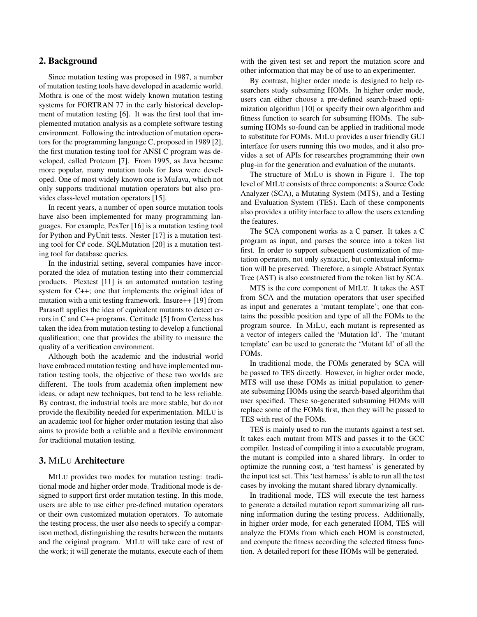# 2. Background

Since mutation testing was proposed in 1987, a number of mutation testing tools have developed in academic world. Mothra is one of the most widely known mutation testing systems for FORTRAN 77 in the early historical development of mutation testing [6]. It was the first tool that implemented mutation analysis as a complete software testing environment. Following the introduction of mutation operators for the programming language C, proposed in 1989 [2], the first mutation testing tool for ANSI C program was developed, called Proteum [7]. From 1995, as Java became more popular, many mutation tools for Java were developed. One of most widely known one is MuJava, which not only supports traditional mutation operators but also provides class-level mutation operators [15].

In recent years, a number of open source mutation tools have also been implemented for many programming languages. For example, PesTer [16] is a mutation testing tool for Python and PyUnit tests. Nester [17] is a mutation testing tool for C# code. SQLMutation [20] is a mutation testing tool for database queries.

In the industrial setting, several companies have incorporated the idea of mutation testing into their commercial products. Plextest [11] is an automated mutation testing system for C++; one that implements the original idea of mutation with a unit testing framework. Insure++ [19] from Parasoft applies the idea of equivalent mutants to detect errors in C and C++ programs. Certitude [5] from Certess has taken the idea from mutation testing to develop a functional qualification; one that provides the ability to measure the quality of a verification environment.

Although both the academic and the industrial world have embraced mutation testing and have implemented mutation testing tools, the objective of these two worlds are different. The tools from academia often implement new ideas, or adapt new techniques, but tend to be less reliable. By contrast, the industrial tools are more stable, but do not provide the flexibility needed for experimentation. MILU is an academic tool for higher order mutation testing that also aims to provide both a reliable and a flexible environment for traditional mutation testing.

## 3. MILU Architecture

MILU provides two modes for mutation testing: traditional mode and higher order mode. Traditional mode is designed to support first order mutation testing. In this mode, users are able to use either pre-defined mutation operators or their own customized mutation operators. To automate the testing process, the user also needs to specify a comparison method, distinguishing the results between the mutants and the original program. MILU will take care of rest of the work; it will generate the mutants, execute each of them with the given test set and report the mutation score and other information that may be of use to an experimenter.

By contrast, higher order mode is designed to help researchers study subsuming HOMs. In higher order mode, users can either choose a pre-defined search-based optimization algorithm [10] or specify their own algorithm and fitness function to search for subsuming HOMs. The subsuming HOMs so-found can be applied in traditional mode to substitute for FOMs. MILU provides a user friendly GUI interface for users running this two modes, and it also provides a set of APIs for researches programming their own plug-in for the generation and evaluation of the mutants.

The structure of MILU is shown in Figure 1. The top level of MILU consists of three components: a Source Code Analyzer (SCA), a Mutating System (MTS), and a Testing and Evaluation System (TES). Each of these components also provides a utility interface to allow the users extending the features.

The SCA component works as a C parser. It takes a C program as input, and parses the source into a token list first. In order to support subsequent customization of mutation operators, not only syntactic, but contextual information will be preserved. Therefore, a simple Abstract Syntax Tree (AST) is also constructed from the token list by SCA.

MTS is the core component of MILU. It takes the AST from SCA and the mutation operators that user specified as input and generates a 'mutant template'; one that contains the possible position and type of all the FOMs to the program source. In MILU, each mutant is represented as a vector of integers called the 'Mutation Id'. The 'mutant template' can be used to generate the 'Mutant Id' of all the FOMs.

In traditional mode, the FOMs generated by SCA will be passed to TES directly. However, in higher order mode, MTS will use these FOMs as initial population to generate subsuming HOMs using the search-based algorithm that user specified. These so-generated subsuming HOMs will replace some of the FOMs first, then they will be passed to TES with rest of the FOMs.

TES is mainly used to run the mutants against a test set. It takes each mutant from MTS and passes it to the GCC compiler. Instead of compiling it into a executable program, the mutant is compiled into a shared library. In order to optimize the running cost, a 'test harness' is generated by the input test set. This 'test harness' is able to run all the test cases by invoking the mutant shared library dynamically.

In traditional mode, TES will execute the test harness to generate a detailed mutation report summarizing all running information during the testing process. Additionally, in higher order mode, for each generated HOM, TES will analyze the FOMs from which each HOM is constructed, and compute the fitness according the selected fitness function. A detailed report for these HOMs will be generated.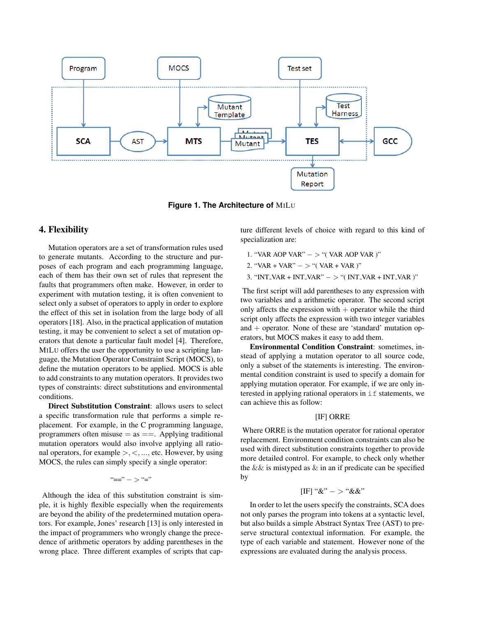

**Figure 1. The Architecture of** MILU

# 4. Flexibility

Mutation operators are a set of transformation rules used to generate mutants. According to the structure and purposes of each program and each programming language, each of them has their own set of rules that represent the faults that programmers often make. However, in order to experiment with mutation testing, it is often convenient to select only a subset of operators to apply in order to explore the effect of this set in isolation from the large body of all operators [18]. Also, in the practical application of mutation testing, it may be convenient to select a set of mutation operators that denote a particular fault model [4]. Therefore, MILU offers the user the opportunity to use a scripting language, the Mutation Operator Constraint Script (MOCS), to define the mutation operators to be applied. MOCS is able to add constraints to any mutation operators. It provides two types of constraints: direct substitutions and environmental conditions.

Direct Substitution Constraint: allows users to select a specific transformation rule that performs a simple replacement. For example, in the C programming language, programmers often misuse  $=$  as  $==$ . Applying traditional mutation operators would also involve applying all rational operators, for example  $\geq, \leq, \ldots$ , etc. However, by using MOCS, the rules can simply specify a single operator:

$$
\textrm{``==''} -> \textrm{``=''}
$$

Although the idea of this substitution constraint is simple, it is highly flexible especially when the requirements are beyond the ability of the predetermined mutation operators. For example, Jones' research [13] is only interested in the impact of programmers who wrongly change the precedence of arithmetic operators by adding parentheses in the wrong place. Three different examples of scripts that capture different levels of choice with regard to this kind of specialization are:

- 1. "VAR AOP VAR" − > "( VAR AOP VAR )"
- 2. "VAR + VAR" − > "( VAR + VAR )"
- 3. "INT VAR + INT VAR" − > "( INT VAR + INT VAR )"

The first script will add parentheses to any expression with two variables and a arithmetic operator. The second script only affects the expression with  $+$  operator while the third script only affects the expression with two integer variables and  $+$  operator. None of these are 'standard' mutation operators, but MOCS makes it easy to add them.

Environmental Condition Constraint: sometimes, instead of applying a mutation operator to all source code, only a subset of the statements is interesting. The environmental condition constraint is used to specify a domain for applying mutation operator. For example, if we are only interested in applying rational operators in if statements, we can achieve this as follow:

#### [IF] ORRE

Where ORRE is the mutation operator for rational operator replacement. Environment condition constraints can also be used with direct substitution constraints together to provide more detailed control. For example, to check only whether the  $&&\&$  is mistyped as  $&&\infty$  in an if predicate can be specified by

## $[IF]$  " $&$ " – > " $&$ "

In order to let the users specify the constraints, SCA does not only parses the program into tokens at a syntactic level, but also builds a simple Abstract Syntax Tree (AST) to preserve structural contextual information. For example, the type of each variable and statement. However none of the expressions are evaluated during the analysis process.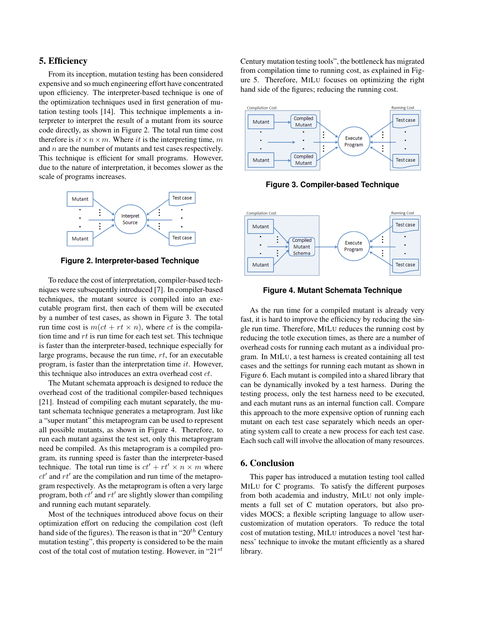## 5. Efficiency

From its inception, mutation testing has been considered expensive and so much engineering effort have concentrated upon efficiency. The interpreter-based technique is one of the optimization techniques used in first generation of mutation testing tools [14]. This technique implements a interpreter to interpret the result of a mutant from its source code directly, as shown in Figure 2. The total run time cost therefore is  $it \times n \times m$ . Where it is the interpreting time, m and n are the number of mutants and test cases respectively. This technique is efficient for small programs. However, due to the nature of interpretation, it becomes slower as the scale of programs increases.



**Figure 2. Interpreter-based Technique**

To reduce the cost of interpretation, compiler-based techniques were subsequently introduced [7]. In compiler-based techniques, the mutant source is compiled into an executable program first, then each of them will be executed by a number of test cases, as shown in Figure 3. The total run time cost is  $m(ct + rt \times n)$ , where ct is the compilation time and  $rt$  is run time for each test set. This technique is faster than the interpreter-based, technique especially for large programs, because the run time, rt, for an executable program, is faster than the interpretation time it. However, this technique also introduces an extra overhead cost ct.

The Mutant schemata approach is designed to reduce the overhead cost of the traditional compiler-based techniques [21]. Instead of compiling each mutant separately, the mutant schemata technique generates a metaprogram. Just like a "super mutant" this metaprogram can be used to represent all possible mutants, as shown in Figure 4. Therefore, to run each mutant against the test set, only this metaprogram need be compiled. As this metaprogram is a compiled program, its running speed is faster than the interpreter-based technique. The total run time is  $ct' + rt' \times n \times m$  where  $ct'$  and  $rt'$  are the compilation and run time of the metaprogram respectively. As the metaprogram is often a very large program, both  $ct'$  and  $rt'$  are slightly slower than compiling and running each mutant separately.

Most of the techniques introduced above focus on their optimization effort on reducing the compilation cost (left hand side of the figures). The reason is that in " $20<sup>th</sup>$  Century mutation testing", this property is considered to be the main cost of the total cost of mutation testing. However, in "21 $^{st}$ 

Century mutation testing tools", the bottleneck has migrated from compilation time to running cost, as explained in Figure 5. Therefore, MILU focuses on optimizing the right hand side of the figures; reducing the running cost.



**Figure 3. Compiler-based Technique**



**Figure 4. Mutant Schemata Technique**

As the run time for a compiled mutant is already very fast, it is hard to improve the efficiency by reducing the single run time. Therefore, MILU reduces the running cost by reducing the totle execution times, as there are a number of overhead costs for running each mutant as a individual program. In MILU, a test harness is created containing all test cases and the settings for running each mutant as shown in Figure 6. Each mutant is compiled into a shared library that can be dynamically invoked by a test harness. During the testing process, only the test harness need to be executed, and each mutant runs as an internal function call. Compare this approach to the more expensive option of running each mutant on each test case separately which needs an operating system call to create a new process for each test case. Each such call will involve the allocation of many resources.

## 6. Conclusion

This paper has introduced a mutation testing tool called MILU for C programs. To satisfy the different purposes from both academia and industry, MILU not only implements a full set of C mutation operators, but also provides MOCS; a flexible scripting language to allow usercustomization of mutation operators. To reduce the total cost of mutation testing, MILU introduces a novel 'test harness' technique to invoke the mutant efficiently as a shared library.